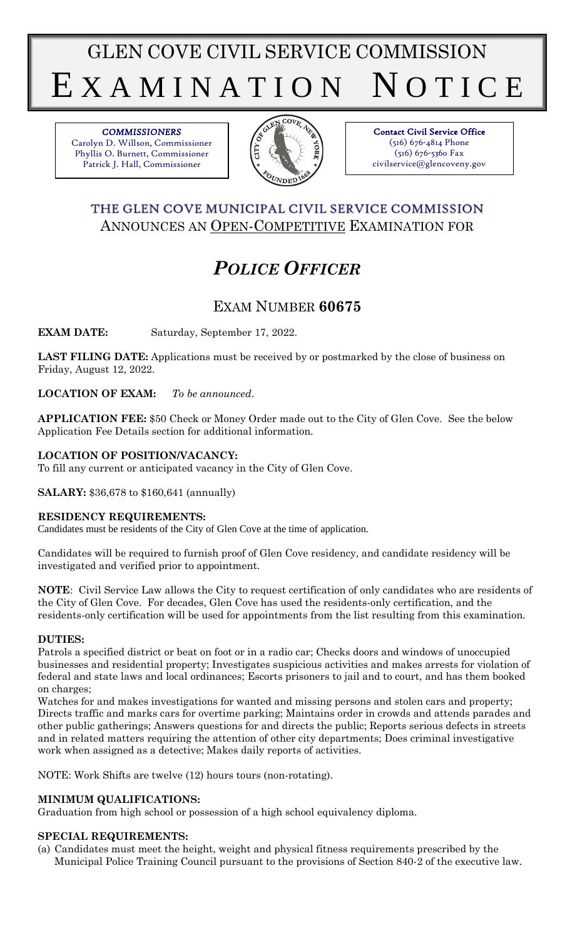GLEN COVE CIVIL SERVICE COMMISSION E X A M I N A T I O N N O T I C E

*COMMISSIONERS*  Carolyn D. Willson, Commissioner Phyllis O. Burnett, Commissioner Patrick J. Hall, Commissioner



Contact Civil Service Office (516) 676-4814 Phone (516) 676-5360 Fax civilservice@glencoveny.gov

## THE GLEN COVE MUNICIPAL CIVIL SERVICE COMMISSION ANNOUNCES AN OPEN-COMPETITIVE EXAMINATION FOR

# *POLICE OFFICER*

## EXAM NUMBER **60675**

**EXAM DATE:** Saturday, September 17, 2022.

**LAST FILING DATE:** Applications must be received by or postmarked by the close of business on Friday, August 12, 2022.

**LOCATION OF EXAM:** *To be announced*.

**APPLICATION FEE:** \$50 Check or Money Order made out to the City of Glen Cove. See the below Application Fee Details section for additional information.

## **LOCATION OF POSITION/VACANCY:**

To fill any current or anticipated vacancy in the City of Glen Cove.

**SALARY:** \$36,678 to \$160,641 (annually)

## **RESIDENCY REQUIREMENTS:**

Candidates must be residents of the City of Glen Cove at the time of application.

Candidates will be required to furnish proof of Glen Cove residency, and candidate residency will be investigated and verified prior to appointment.

**NOTE**: Civil Service Law allows the City to request certification of only candidates who are residents of the City of Glen Cove. For decades, Glen Cove has used the residents-only certification, and the residents-only certification will be used for appointments from the list resulting from this examination.

## **DUTIES:**

Patrols a specified district or beat on foot or in a radio car; Checks doors and windows of unoccupied businesses and residential property; Investigates suspicious activities and makes arrests for violation of federal and state laws and local ordinances; Escorts prisoners to jail and to court, and has them booked on charges;

Watches for and makes investigations for wanted and missing persons and stolen cars and property; Directs traffic and marks cars for overtime parking; Maintains order in crowds and attends parades and other public gatherings; Answers questions for and directs the public; Reports serious defects in streets and in related matters requiring the attention of other city departments; Does criminal investigative work when assigned as a detective; Makes daily reports of activities.

NOTE: Work Shifts are twelve (12) hours tours (non-rotating).

## **MINIMUM QUALIFICATIONS:**

Graduation from high school or possession of a high school equivalency diploma.

## **SPECIAL REQUIREMENTS:**

(a) Candidates must meet the height, weight and physical fitness requirements prescribed by the Municipal Police Training Council pursuant to the provisions of Section 840-2 of the executive law.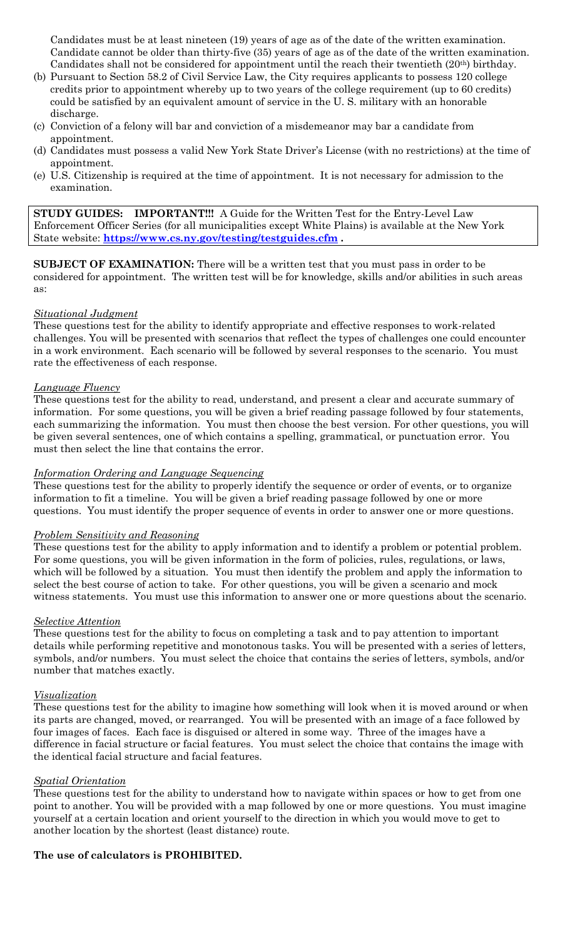Candidates must be at least nineteen (19) years of age as of the date of the written examination. Candidate cannot be older than thirty-five (35) years of age as of the date of the written examination. Candidates shall not be considered for appointment until the reach their twentieth (20th) birthday.

- (b) Pursuant to Section 58.2 of Civil Service Law, the City requires applicants to possess 120 college credits prior to appointment whereby up to two years of the college requirement (up to 60 credits) could be satisfied by an equivalent amount of service in the U. S. military with an honorable discharge.
- (c) Conviction of a felony will bar and conviction of a misdemeanor may bar a candidate from appointment.
- (d) Candidates must possess a valid New York State Driver's License (with no restrictions) at the time of appointment.
- (e) U.S. Citizenship is required at the time of appointment. It is not necessary for admission to the examination.

**STUDY GUIDES: IMPORTANT!!!** A Guide for the Written Test for the Entry-Level Law Enforcement Officer Series (for all municipalities except White Plains) is available at the New York State website: **<https://www.cs.ny.gov/testing/testguides.cfm> .**

**SUBJECT OF EXAMINATION:** There will be a written test that you must pass in order to be considered for appointment. The written test will be for knowledge, skills and/or abilities in such areas as:

#### *Situational Judgment*

These questions test for the ability to identify appropriate and effective responses to work-related challenges. You will be presented with scenarios that reflect the types of challenges one could encounter in a work environment. Each scenario will be followed by several responses to the scenario. You must rate the effectiveness of each response.

#### *Language Fluency*

These questions test for the ability to read, understand, and present a clear and accurate summary of information. For some questions, you will be given a brief reading passage followed by four statements, each summarizing the information. You must then choose the best version. For other questions, you will be given several sentences, one of which contains a spelling, grammatical, or punctuation error. You must then select the line that contains the error.

#### *Information Ordering and Language Sequencing*

These questions test for the ability to properly identify the sequence or order of events, or to organize information to fit a timeline. You will be given a brief reading passage followed by one or more questions. You must identify the proper sequence of events in order to answer one or more questions.

#### *Problem Sensitivity and Reasoning*

These questions test for the ability to apply information and to identify a problem or potential problem. For some questions, you will be given information in the form of policies, rules, regulations, or laws, which will be followed by a situation. You must then identify the problem and apply the information to select the best course of action to take. For other questions, you will be given a scenario and mock witness statements. You must use this information to answer one or more questions about the scenario.

#### *Selective Attention*

These questions test for the ability to focus on completing a task and to pay attention to important details while performing repetitive and monotonous tasks. You will be presented with a series of letters, symbols, and/or numbers. You must select the choice that contains the series of letters, symbols, and/or number that matches exactly.

#### *Visualization*

These questions test for the ability to imagine how something will look when it is moved around or when its parts are changed, moved, or rearranged. You will be presented with an image of a face followed by four images of faces. Each face is disguised or altered in some way. Three of the images have a difference in facial structure or facial features. You must select the choice that contains the image with the identical facial structure and facial features.

#### *Spatial Orientation*

These questions test for the ability to understand how to navigate within spaces or how to get from one point to another. You will be provided with a map followed by one or more questions. You must imagine yourself at a certain location and orient yourself to the direction in which you would move to get to another location by the shortest (least distance) route.

#### **The use of calculators is PROHIBITED.**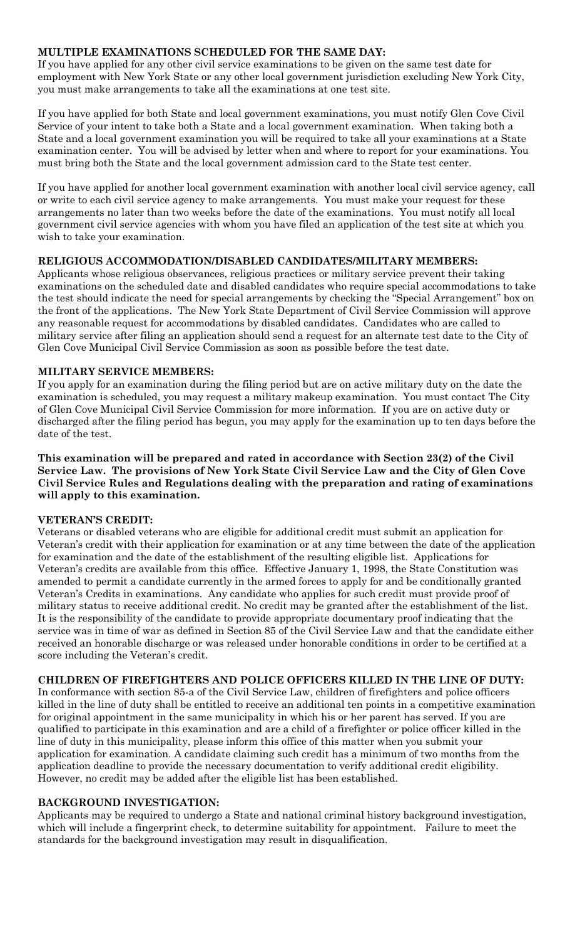## **MULTIPLE EXAMINATIONS SCHEDULED FOR THE SAME DAY:**

If you have applied for any other civil service examinations to be given on the same test date for employment with New York State or any other local government jurisdiction excluding New York City, you must make arrangements to take all the examinations at one test site.

If you have applied for both State and local government examinations, you must notify Glen Cove Civil Service of your intent to take both a State and a local government examination. When taking both a State and a local government examination you will be required to take all your examinations at a State examination center. You will be advised by letter when and where to report for your examinations. You must bring both the State and the local government admission card to the State test center.

If you have applied for another local government examination with another local civil service agency, call or write to each civil service agency to make arrangements. You must make your request for these arrangements no later than two weeks before the date of the examinations. You must notify all local government civil service agencies with whom you have filed an application of the test site at which you wish to take your examination.

#### **RELIGIOUS ACCOMMODATION/DISABLED CANDIDATES/MILITARY MEMBERS:**

Applicants whose religious observances, religious practices or military service prevent their taking examinations on the scheduled date and disabled candidates who require special accommodations to take the test should indicate the need for special arrangements by checking the "Special Arrangement" box on the front of the applications. The New York State Department of Civil Service Commission will approve any reasonable request for accommodations by disabled candidates. Candidates who are called to military service after filing an application should send a request for an alternate test date to the City of Glen Cove Municipal Civil Service Commission as soon as possible before the test date.

### **MILITARY SERVICE MEMBERS:**

If you apply for an examination during the filing period but are on active military duty on the date the examination is scheduled, you may request a military makeup examination. You must contact The City of Glen Cove Municipal Civil Service Commission for more information. If you are on active duty or discharged after the filing period has begun, you may apply for the examination up to ten days before the date of the test.

**This examination will be prepared and rated in accordance with Section 23(2) of the Civil Service Law. The provisions of New York State Civil Service Law and the City of Glen Cove Civil Service Rules and Regulations dealing with the preparation and rating of examinations will apply to this examination.**

#### **VETERAN'S CREDIT:**

Veterans or disabled veterans who are eligible for additional credit must submit an application for Veteran's credit with their application for examination or at any time between the date of the application for examination and the date of the establishment of the resulting eligible list. Applications for Veteran's credits are available from this office. Effective January 1, 1998, the State Constitution was amended to permit a candidate currently in the armed forces to apply for and be conditionally granted Veteran's Credits in examinations. Any candidate who applies for such credit must provide proof of military status to receive additional credit. No credit may be granted after the establishment of the list. It is the responsibility of the candidate to provide appropriate documentary proof indicating that the service was in time of war as defined in Section 85 of the Civil Service Law and that the candidate either received an honorable discharge or was released under honorable conditions in order to be certified at a score including the Veteran's credit.

## **CHILDREN OF FIREFIGHTERS AND POLICE OFFICERS KILLED IN THE LINE OF DUTY:**

In conformance with section 85-a of the Civil Service Law, children of firefighters and police officers killed in the line of duty shall be entitled to receive an additional ten points in a competitive examination for original appointment in the same municipality in which his or her parent has served. If you are qualified to participate in this examination and are a child of a firefighter or police officer killed in the line of duty in this municipality, please inform this office of this matter when you submit your application for examination. A candidate claiming such credit has a minimum of two months from the application deadline to provide the necessary documentation to verify additional credit eligibility. However, no credit may be added after the eligible list has been established.

#### **BACKGROUND INVESTIGATION:**

Applicants may be required to undergo a State and national criminal history background investigation, which will include a fingerprint check, to determine suitability for appointment. Failure to meet the standards for the background investigation may result in disqualification.